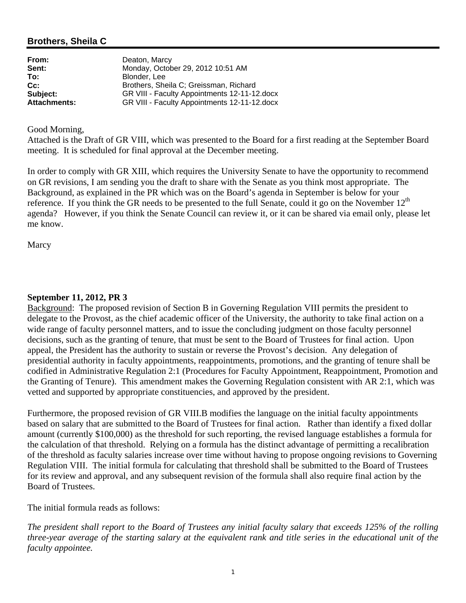## **Brothers, Sheila C**

| From:               | Deaton, Marcy                                |
|---------------------|----------------------------------------------|
| Sent:               | Monday, October 29, 2012 10:51 AM            |
| To:                 | Blonder, Lee                                 |
| Cc:                 | Brothers, Sheila C; Greissman, Richard       |
| Subject:            | GR VIII - Faculty Appointments 12-11-12.docx |
| <b>Attachments:</b> | GR VIII - Faculty Appointments 12-11-12.docx |

#### Good Morning,

Attached is the Draft of GR VIII, which was presented to the Board for a first reading at the September Board meeting. It is scheduled for final approval at the December meeting.

In order to comply with GR XIII, which requires the University Senate to have the opportunity to recommend on GR revisions, I am sending you the draft to share with the Senate as you think most appropriate. The Background, as explained in the PR which was on the Board's agenda in September is below for your reference. If you think the GR needs to be presented to the full Senate, could it go on the November  $12<sup>th</sup>$ agenda? However, if you think the Senate Council can review it, or it can be shared via email only, please let me know.

**Marcy** 

#### **September 11, 2012, PR 3**

Background: The proposed revision of Section B in Governing Regulation VIII permits the president to delegate to the Provost, as the chief academic officer of the University, the authority to take final action on a wide range of faculty personnel matters, and to issue the concluding judgment on those faculty personnel decisions, such as the granting of tenure, that must be sent to the Board of Trustees for final action. Upon appeal, the President has the authority to sustain or reverse the Provost's decision. Any delegation of presidential authority in faculty appointments, reappointments, promotions, and the granting of tenure shall be codified in Administrative Regulation 2:1 (Procedures for Faculty Appointment, Reappointment, Promotion and the Granting of Tenure). This amendment makes the Governing Regulation consistent with AR 2:1, which was vetted and supported by appropriate constituencies, and approved by the president.

Furthermore, the proposed revision of GR VIII.B modifies the language on the initial faculty appointments based on salary that are submitted to the Board of Trustees for final action. Rather than identify a fixed dollar amount (currently \$100,000) as the threshold for such reporting, the revised language establishes a formula for the calculation of that threshold. Relying on a formula has the distinct advantage of permitting a recalibration of the threshold as faculty salaries increase over time without having to propose ongoing revisions to Governing Regulation VIII. The initial formula for calculating that threshold shall be submitted to the Board of Trustees for its review and approval, and any subsequent revision of the formula shall also require final action by the Board of Trustees.

The initial formula reads as follows:

*The president shall report to the Board of Trustees any initial faculty salary that exceeds 125% of the rolling three-year average of the starting salary at the equivalent rank and title series in the educational unit of the faculty appointee.*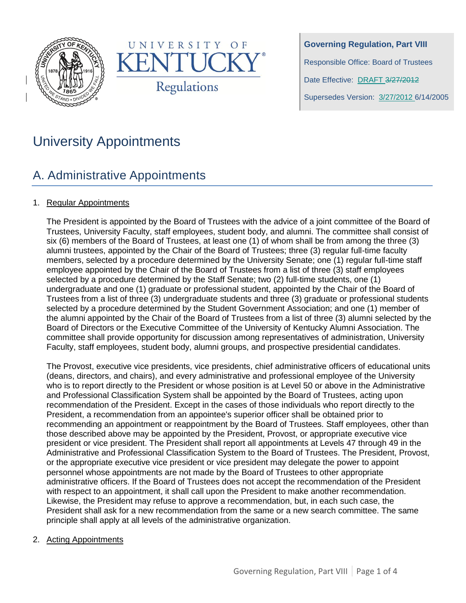



**Governing Regulation, Part VIII** Responsible Office: Board of Trustees Date Effective: DRAFT 3/27/2012 Supersedes Version: 3/27/2012 6/14/2005

# University Appointments

## A. Administrative Appointments

## 1. Regular Appointments

The President is appointed by the Board of Trustees with the advice of a joint committee of the Board of Trustees, University Faculty, staff employees, student body, and alumni. The committee shall consist of six (6) members of the Board of Trustees, at least one (1) of whom shall be from among the three (3) alumni trustees, appointed by the Chair of the Board of Trustees; three (3) regular full-time faculty members, selected by a procedure determined by the University Senate; one (1) regular full-time staff employee appointed by the Chair of the Board of Trustees from a list of three (3) staff employees selected by a procedure determined by the Staff Senate; two (2) full-time students, one (1) undergraduate and one (1) graduate or professional student, appointed by the Chair of the Board of Trustees from a list of three (3) undergraduate students and three (3) graduate or professional students selected by a procedure determined by the Student Government Association; and one (1) member of the alumni appointed by the Chair of the Board of Trustees from a list of three (3) alumni selected by the Board of Directors or the Executive Committee of the University of Kentucky Alumni Association. The committee shall provide opportunity for discussion among representatives of administration, University Faculty, staff employees, student body, alumni groups, and prospective presidential candidates.

The Provost, executive vice presidents, vice presidents, chief administrative officers of educational units (deans, directors, and chairs), and every administrative and professional employee of the University who is to report directly to the President or whose position is at Level 50 or above in the Administrative and Professional Classification System shall be appointed by the Board of Trustees, acting upon recommendation of the President. Except in the cases of those individuals who report directly to the President, a recommendation from an appointee's superior officer shall be obtained prior to recommending an appointment or reappointment by the Board of Trustees. Staff employees, other than those described above may be appointed by the President, Provost, or appropriate executive vice president or vice president. The President shall report all appointments at Levels 47 through 49 in the Administrative and Professional Classification System to the Board of Trustees. The President, Provost, or the appropriate executive vice president or vice president may delegate the power to appoint personnel whose appointments are not made by the Board of Trustees to other appropriate administrative officers. If the Board of Trustees does not accept the recommendation of the President with respect to an appointment, it shall call upon the President to make another recommendation. Likewise, the President may refuse to approve a recommendation, but, in each such case, the President shall ask for a new recommendation from the same or a new search committee. The same principle shall apply at all levels of the administrative organization.

### 2. Acting Appointments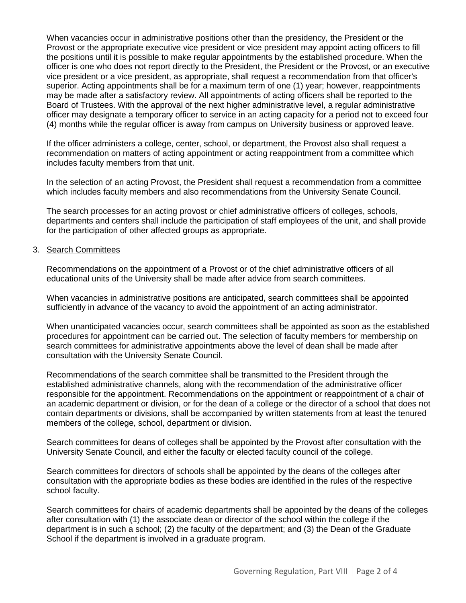When vacancies occur in administrative positions other than the presidency, the President or the Provost or the appropriate executive vice president or vice president may appoint acting officers to fill the positions until it is possible to make regular appointments by the established procedure. When the officer is one who does not report directly to the President, the President or the Provost, or an executive vice president or a vice president, as appropriate, shall request a recommendation from that officer's superior. Acting appointments shall be for a maximum term of one (1) year; however, reappointments may be made after a satisfactory review. All appointments of acting officers shall be reported to the Board of Trustees. With the approval of the next higher administrative level, a regular administrative officer may designate a temporary officer to service in an acting capacity for a period not to exceed four (4) months while the regular officer is away from campus on University business or approved leave.

If the officer administers a college, center, school, or department, the Provost also shall request a recommendation on matters of acting appointment or acting reappointment from a committee which includes faculty members from that unit.

In the selection of an acting Provost, the President shall request a recommendation from a committee which includes faculty members and also recommendations from the University Senate Council.

The search processes for an acting provost or chief administrative officers of colleges, schools, departments and centers shall include the participation of staff employees of the unit, and shall provide for the participation of other affected groups as appropriate.

#### 3. Search Committees

Recommendations on the appointment of a Provost or of the chief administrative officers of all educational units of the University shall be made after advice from search committees.

When vacancies in administrative positions are anticipated, search committees shall be appointed sufficiently in advance of the vacancy to avoid the appointment of an acting administrator.

When unanticipated vacancies occur, search committees shall be appointed as soon as the established procedures for appointment can be carried out. The selection of faculty members for membership on search committees for administrative appointments above the level of dean shall be made after consultation with the University Senate Council.

Recommendations of the search committee shall be transmitted to the President through the established administrative channels, along with the recommendation of the administrative officer responsible for the appointment. Recommendations on the appointment or reappointment of a chair of an academic department or division, or for the dean of a college or the director of a school that does not contain departments or divisions, shall be accompanied by written statements from at least the tenured members of the college, school, department or division.

Search committees for deans of colleges shall be appointed by the Provost after consultation with the University Senate Council, and either the faculty or elected faculty council of the college.

Search committees for directors of schools shall be appointed by the deans of the colleges after consultation with the appropriate bodies as these bodies are identified in the rules of the respective school faculty.

Search committees for chairs of academic departments shall be appointed by the deans of the colleges after consultation with (1) the associate dean or director of the school within the college if the department is in such a school; (2) the faculty of the department; and (3) the Dean of the Graduate School if the department is involved in a graduate program.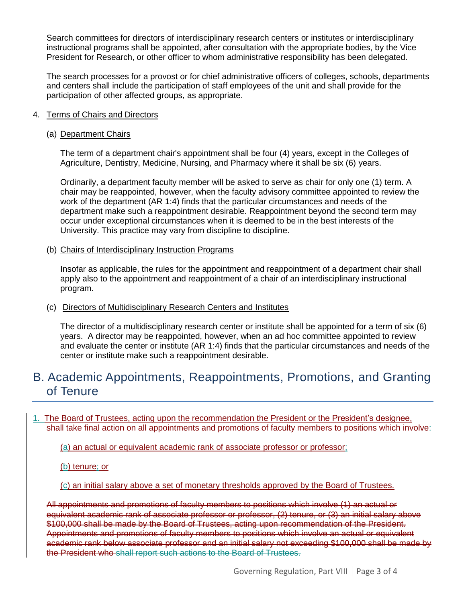Search committees for directors of interdisciplinary research centers or institutes or interdisciplinary instructional programs shall be appointed, after consultation with the appropriate bodies, by the Vice President for Research, or other officer to whom administrative responsibility has been delegated.

The search processes for a provost or for chief administrative officers of colleges, schools, departments and centers shall include the participation of staff employees of the unit and shall provide for the participation of other affected groups, as appropriate.

#### 4. Terms of Chairs and Directors

#### (a) Department Chairs

The term of a department chair's appointment shall be four (4) years, except in the Colleges of Agriculture, Dentistry, Medicine, Nursing, and Pharmacy where it shall be six (6) years.

Ordinarily, a department faculty member will be asked to serve as chair for only one (1) term. A chair may be reappointed, however, when the faculty advisory committee appointed to review the work of the department (AR 1:4) finds that the particular circumstances and needs of the department make such a reappointment desirable. Reappointment beyond the second term may occur under exceptional circumstances when it is deemed to be in the best interests of the University. This practice may vary from discipline to discipline.

(b) Chairs of Interdisciplinary Instruction Programs

Insofar as applicable, the rules for the appointment and reappointment of a department chair shall apply also to the appointment and reappointment of a chair of an interdisciplinary instructional program.

#### (c) Directors of Multidisciplinary Research Centers and Institutes

The director of a multidisciplinary research center or institute shall be appointed for a term of six (6) years. A director may be reappointed, however, when an ad hoc committee appointed to review and evaluate the center or institute (AR 1:4) finds that the particular circumstances and needs of the center or institute make such a reappointment desirable.

## B. Academic Appointments, Reappointments, Promotions, and Granting of Tenure

### 1. The Board of Trustees, acting upon the recommendation the President or the President's designee, shall take final action on all appointments and promotions of faculty members to positions which involve:

(a) an actual or equivalent academic rank of associate professor or professor;

#### (b) tenure; or

(c) an initial salary above a set of monetary thresholds approved by the Board of Trustees.

All appointments and promotions of faculty members to positions which involve (1) an actual or equivalent academic rank of associate professor or professor, (2) tenure, or (3) an initial salary above \$100,000 shall be made by the Board of Trustees, acting upon recommendation of the President. Appointments and promotions of faculty members to positions which involve an actual or equivalent academic rank below associate professor and an initial salary not exceeding \$100,000 shall be made by the President who shall report such actions to the Board of Trustees.